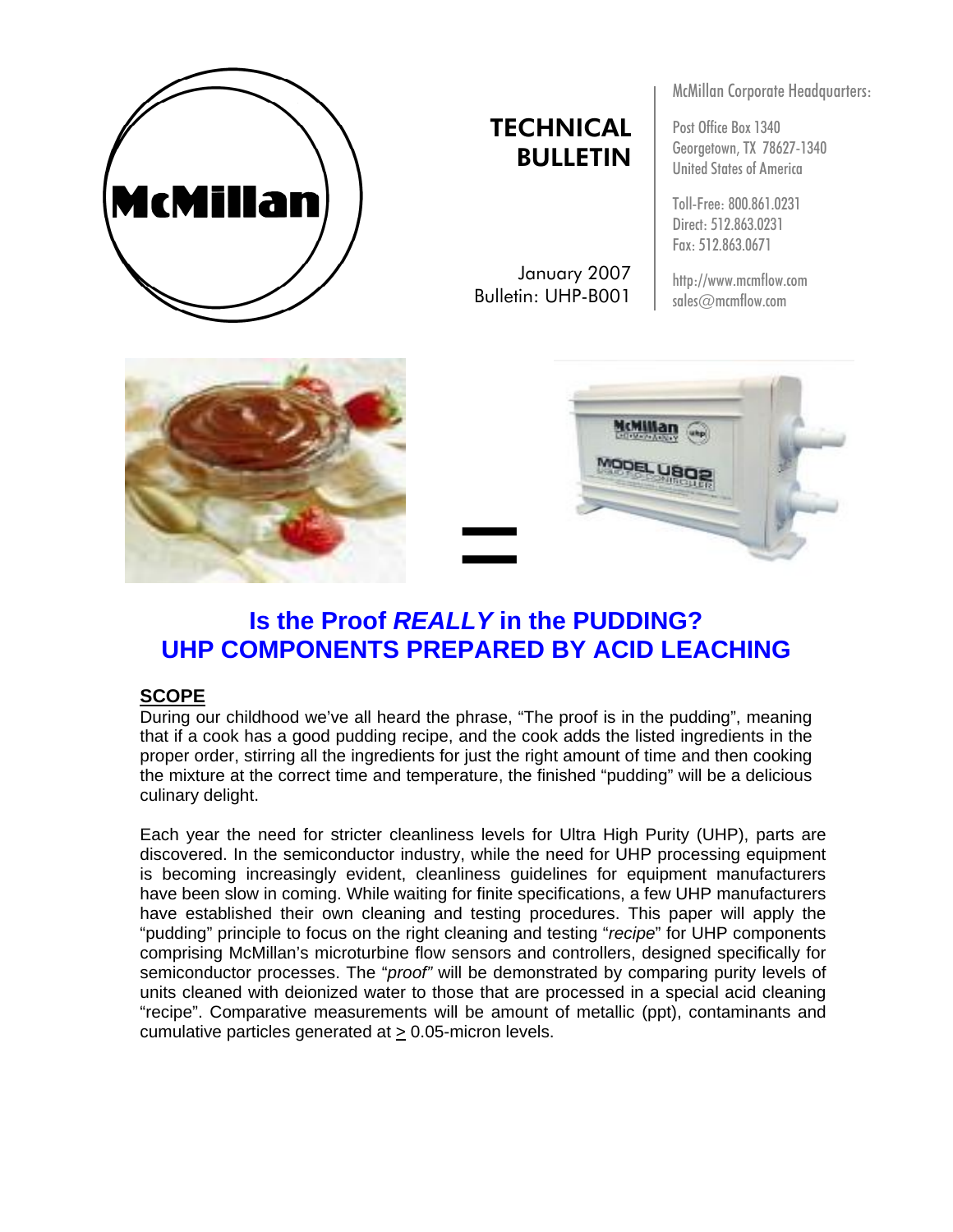

# **TECHNICAL** BULLETIN

January 2007 Bulletin: UHP-B001

McMillan Corporate Headquarters:

Post Office Box 1340 Georgetown, TX 78627-1340 United States of America

Toll-Free: 800.861.0231 Direct: 512.863.0231 Fax: 512.863.0671

http://www.mcmflow.com sales@mcmflow.com





## **Is the Proof** *REALLY* **in the PUDDING? UHP COMPONENTS PREPARED BY ACID LEACHING**

## **SCOPE**

During our childhood we've all heard the phrase, "The proof is in the pudding", meaning that if a cook has a good pudding recipe, and the cook adds the listed ingredients in the proper order, stirring all the ingredients for just the right amount of time and then cooking the mixture at the correct time and temperature, the finished "pudding" will be a delicious culinary delight.

Each year the need for stricter cleanliness levels for Ultra High Purity (UHP), parts are discovered. In the semiconductor industry, while the need for UHP processing equipment is becoming increasingly evident, cleanliness guidelines for equipment manufacturers have been slow in coming. While waiting for finite specifications, a few UHP manufacturers have established their own cleaning and testing procedures. This paper will apply the "pudding" principle to focus on the right cleaning and testing "*recipe*" for UHP components comprising McMillan's microturbine flow sensors and controllers, designed specifically for semiconductor processes. The "*proof"* will be demonstrated by comparing purity levels of units cleaned with deionized water to those that are processed in a special acid cleaning "recipe". Comparative measurements will be amount of metallic (ppt), contaminants and cumulative particles generated at > 0.05-micron levels.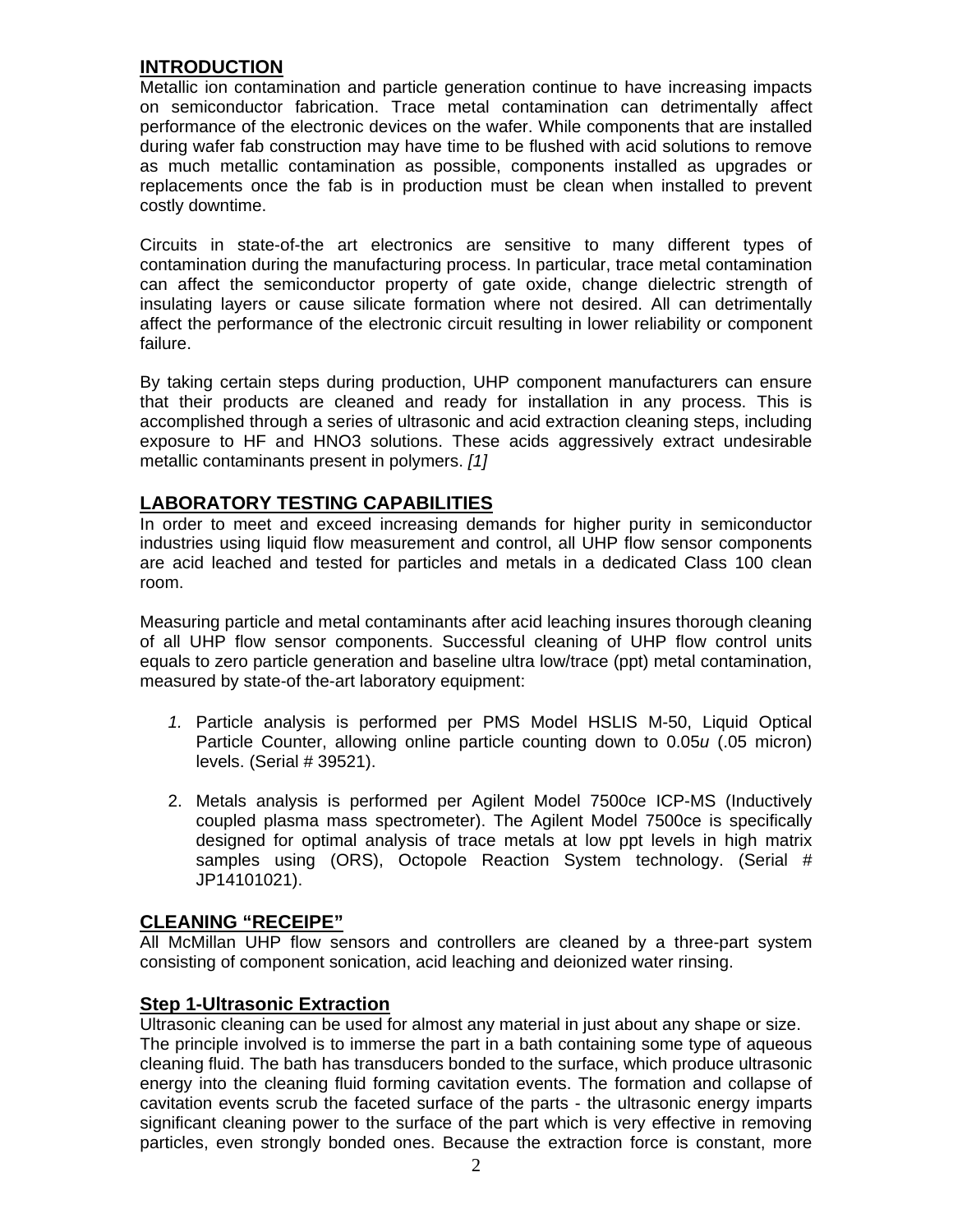## **INTRODUCTION**

Metallic ion contamination and particle generation continue to have increasing impacts on semiconductor fabrication. Trace metal contamination can detrimentally affect performance of the electronic devices on the wafer. While components that are installed during wafer fab construction may have time to be flushed with acid solutions to remove as much metallic contamination as possible, components installed as upgrades or replacements once the fab is in production must be clean when installed to prevent costly downtime.

Circuits in state-of-the art electronics are sensitive to many different types of contamination during the manufacturing process. In particular, trace metal contamination can affect the semiconductor property of gate oxide, change dielectric strength of insulating layers or cause silicate formation where not desired. All can detrimentally affect the performance of the electronic circuit resulting in lower reliability or component failure.

By taking certain steps during production, UHP component manufacturers can ensure that their products are cleaned and ready for installation in any process. This is accomplished through a series of ultrasonic and acid extraction cleaning steps, including exposure to HF and HNO3 solutions. These acids aggressively extract undesirable metallic contaminants present in polymers. *[1]*

## **LABORATORY TESTING CAPABILITIES**

In order to meet and exceed increasing demands for higher purity in semiconductor industries using liquid flow measurement and control, all UHP flow sensor components are acid leached and tested for particles and metals in a dedicated Class 100 clean room.

Measuring particle and metal contaminants after acid leaching insures thorough cleaning of all UHP flow sensor components. Successful cleaning of UHP flow control units equals to zero particle generation and baseline ultra low/trace (ppt) metal contamination, measured by state-of the-art laboratory equipment:

- *1.* Particle analysis is performed per PMS Model HSLIS M-50, Liquid Optical Particle Counter, allowing online particle counting down to 0.05*u* (.05 micron) levels. (Serial # 39521).
- 2. Metals analysis is performed per Agilent Model 7500ce ICP-MS (Inductively coupled plasma mass spectrometer). The Agilent Model 7500ce is specifically designed for optimal analysis of trace metals at low ppt levels in high matrix samples using (ORS), Octopole Reaction System technology. (Serial # JP14101021).

## **CLEANING "RECEIPE"**

All McMillan UHP flow sensors and controllers are cleaned by a three-part system consisting of component sonication, acid leaching and deionized water rinsing.

## **Step 1-Ultrasonic Extraction**

Ultrasonic cleaning can be used for almost any material in just about any shape or size. The principle involved is to immerse the part in a bath containing some type of aqueous cleaning fluid. The bath has transducers bonded to the surface, which produce ultrasonic energy into the cleaning fluid forming cavitation events. The formation and collapse of cavitation events scrub the faceted surface of the parts - the ultrasonic energy imparts significant cleaning power to the surface of the part which is very effective in removing particles, even strongly bonded ones. Because the extraction force is constant, more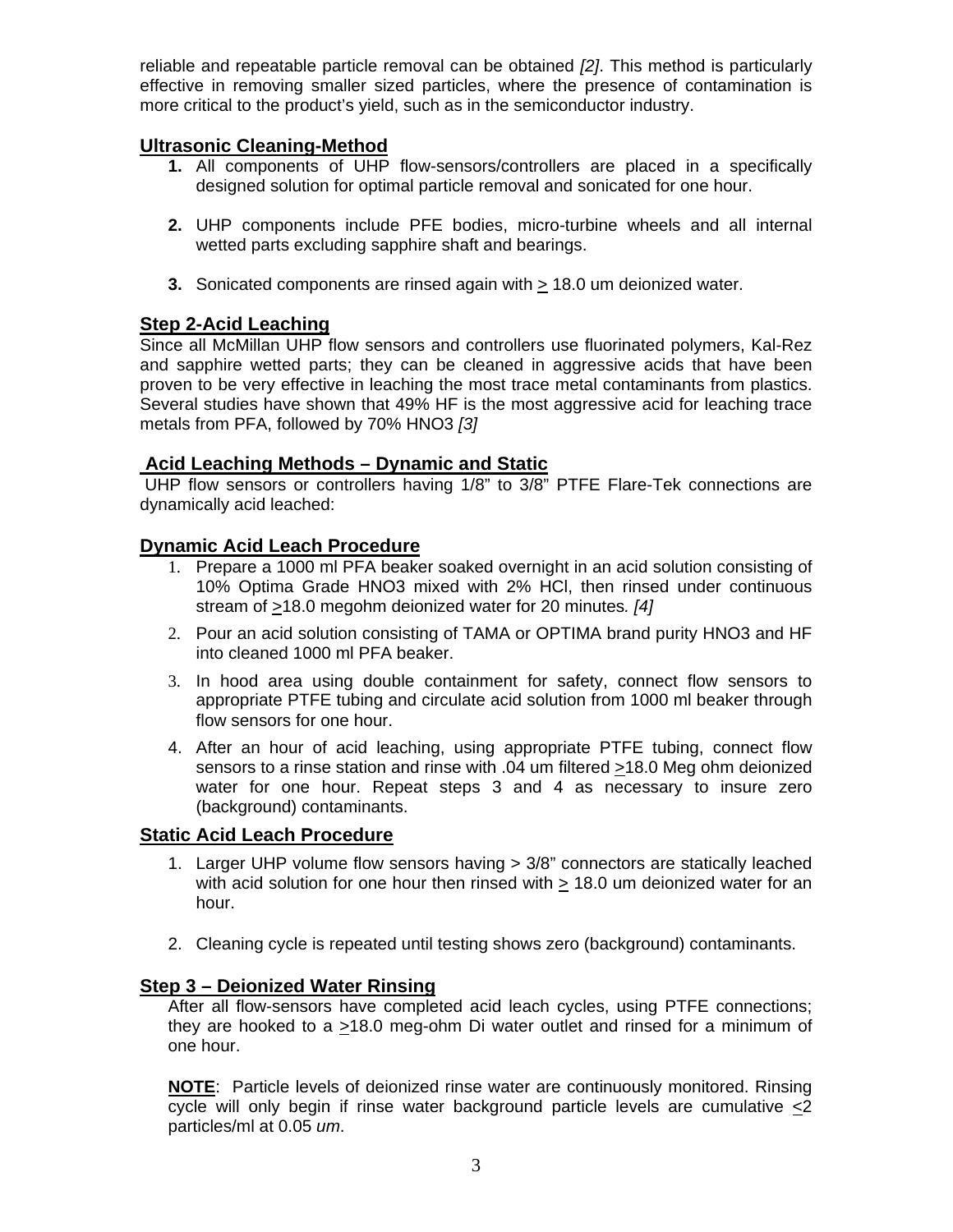reliable and repeatable particle removal can be obtained *[2]*. This method is particularly effective in removing smaller sized particles, where the presence of contamination is more critical to the product's yield, such as in the semiconductor industry.

## **Ultrasonic Cleaning-Method**

- **1.** All components of UHP flow-sensors/controllers are placed in a specifically designed solution for optimal particle removal and sonicated for one hour.
- **2.** UHP components include PFE bodies, micro-turbine wheels and all internal wetted parts excluding sapphire shaft and bearings.
- **3.** Sonicated components are rinsed again with > 18.0 um deionized water.

## **Step 2-Acid Leaching**

Since all McMillan UHP flow sensors and controllers use fluorinated polymers, Kal-Rez and sapphire wetted parts; they can be cleaned in aggressive acids that have been proven to be very effective in leaching the most trace metal contaminants from plastics. Several studies have shown that 49% HF is the most aggressive acid for leaching trace metals from PFA, followed by 70% HNO3 *[3]* 

#### **Acid Leaching Methods – Dynamic and Static**

 UHP flow sensors or controllers having 1/8" to 3/8" PTFE Flare-Tek connections are dynamically acid leached:

## **Dynamic Acid Leach Procedure**

- 1. Prepare a 1000 ml PFA beaker soaked overnight in an acid solution consisting of 10% Optima Grade HNO3 mixed with 2% HCl, then rinsed under continuous stream of >18.0 megohm deionized water for 20 minutes*. [4]*
- 2. Pour an acid solution consisting of TAMA or OPTIMA brand purity HNO3 and HF into cleaned 1000 ml PFA beaker.
- 3. In hood area using double containment for safety, connect flow sensors to appropriate PTFE tubing and circulate acid solution from 1000 ml beaker through flow sensors for one hour.
- 4. After an hour of acid leaching, using appropriate PTFE tubing, connect flow sensors to a rinse station and rinse with .04 um filtered >18.0 Meg ohm deionized water for one hour. Repeat steps 3 and 4 as necessary to insure zero (background) contaminants.

## **Static Acid Leach Procedure**

- 1. Larger UHP volume flow sensors having > 3/8" connectors are statically leached with acid solution for one hour then rinsed with > 18.0 um deionized water for an hour.
- 2. Cleaning cycle is repeated until testing shows zero (background) contaminants.

## **Step 3 – Deionized Water Rinsing**

After all flow-sensors have completed acid leach cycles, using PTFE connections; they are hooked to a >18.0 meg-ohm Di water outlet and rinsed for a minimum of one hour.

**NOTE**: Particle levels of deionized rinse water are continuously monitored. Rinsing cycle will only begin if rinse water background particle levels are cumulative <2 particles/ml at 0.05 *um*.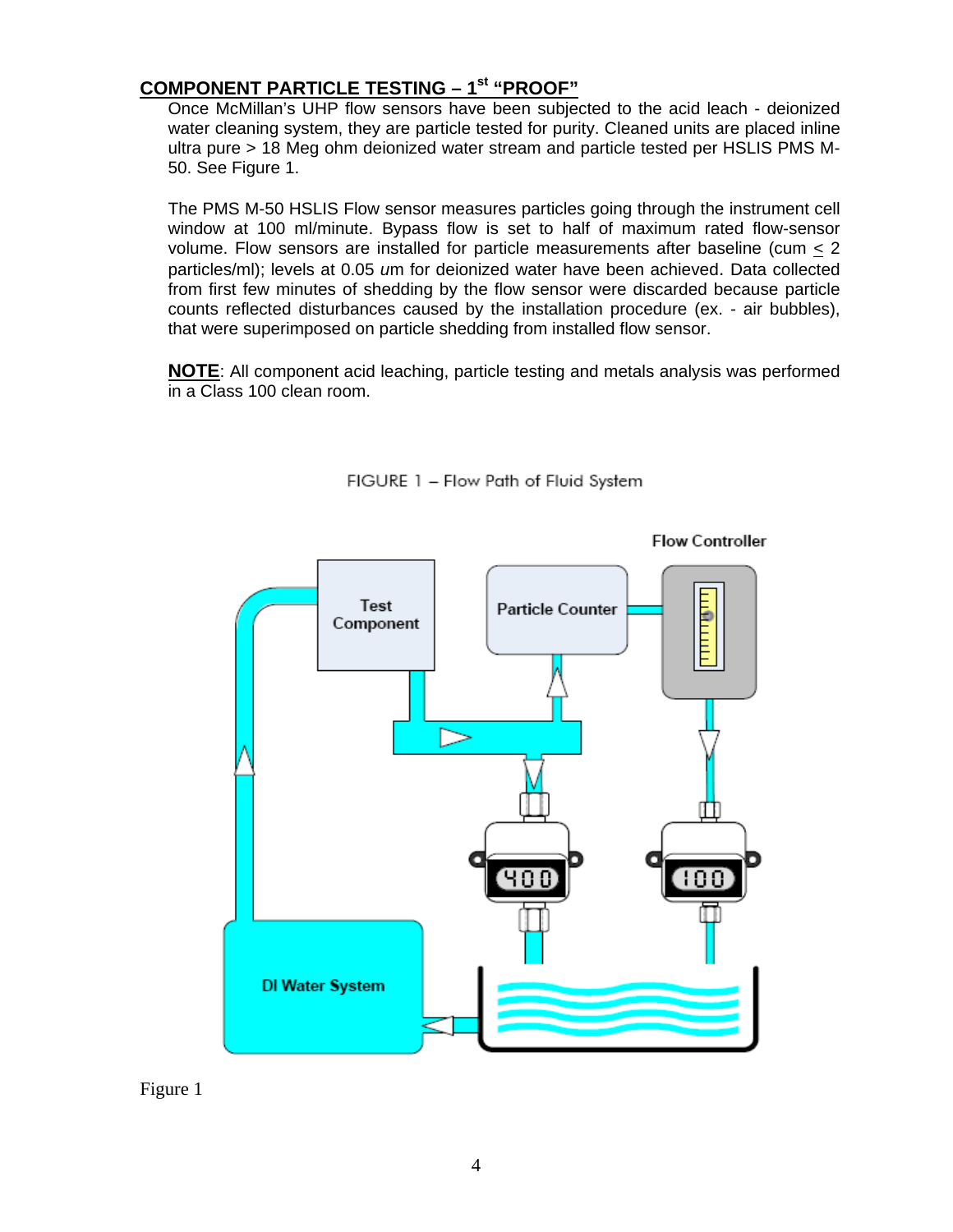## **COMPONENT PARTICLE TESTING – 1st "PROOF"**

Once McMillan's UHP flow sensors have been subjected to the acid leach - deionized water cleaning system, they are particle tested for purity. Cleaned units are placed inline ultra pure > 18 Meg ohm deionized water stream and particle tested per HSLIS PMS M-50. See Figure 1.

The PMS M-50 HSLIS Flow sensor measures particles going through the instrument cell window at 100 ml/minute. Bypass flow is set to half of maximum rated flow-sensor volume. Flow sensors are installed for particle measurements after baseline (cum  $\leq$  2 particles/ml); levels at 0.05 *u*m for deionized water have been achieved. Data collected from first few minutes of shedding by the flow sensor were discarded because particle counts reflected disturbances caused by the installation procedure (ex. - air bubbles), that were superimposed on particle shedding from installed flow sensor.

**NOTE**: All component acid leaching, particle testing and metals analysis was performed in a Class 100 clean room.



FIGURE 1 - Flow Path of Fluid System

Figure 1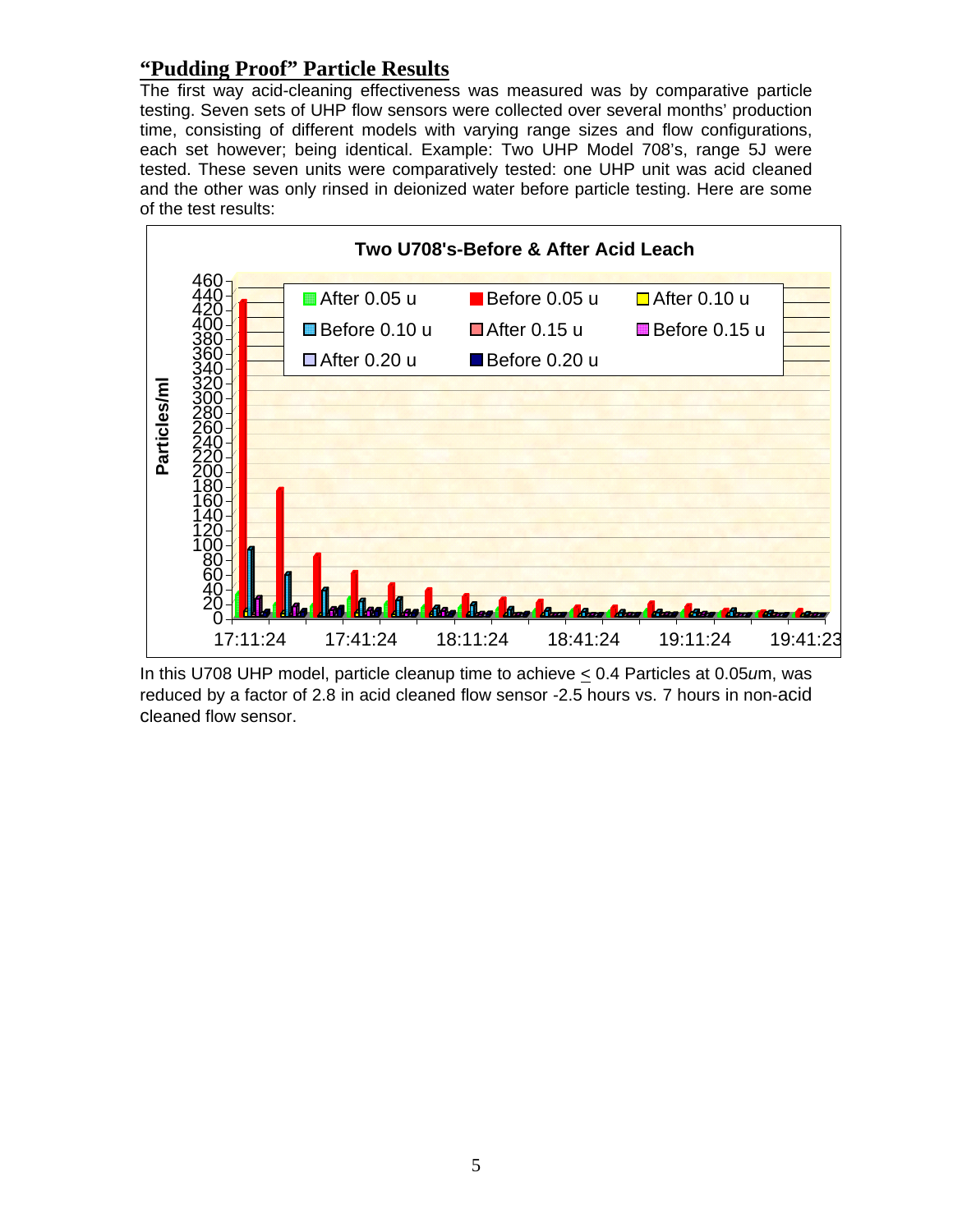## **"Pudding Proof" Particle Results**

The first way acid-cleaning effectiveness was measured was by comparative particle testing. Seven sets of UHP flow sensors were collected over several months' production time, consisting of different models with varying range sizes and flow configurations, each set however; being identical. Example: Two UHP Model 708's, range 5J were tested. These seven units were comparatively tested: one UHP unit was acid cleaned and the other was only rinsed in deionized water before particle testing. Here are some of the test results:



In this U708 UHP model, particle cleanup time to achieve < 0.4 Particles at 0.05*u*m, was reduced by a factor of 2.8 in acid cleaned flow sensor -2.5 hours vs. 7 hours in non-acid cleaned flow sensor.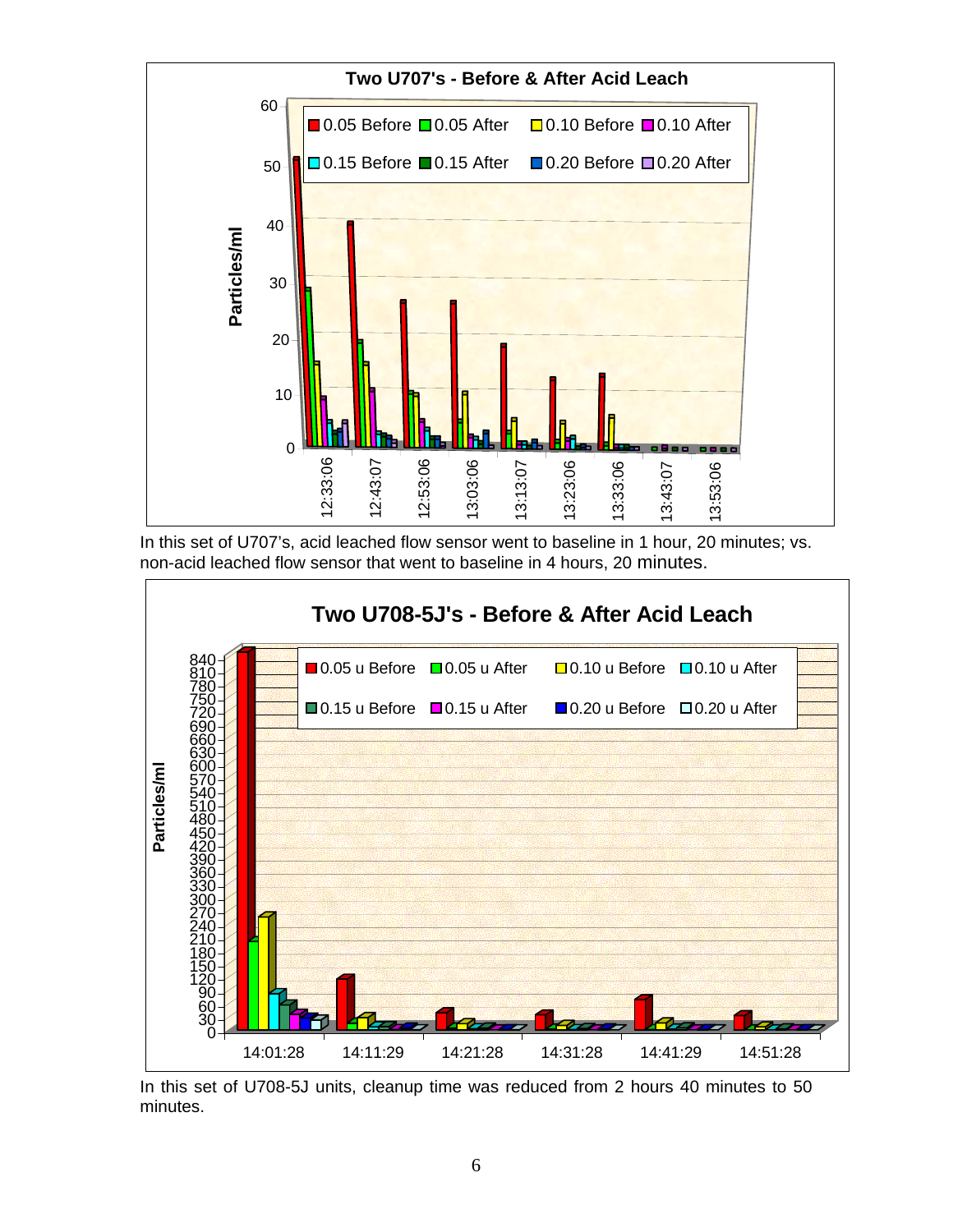

In this set of U707's, acid leached flow sensor went to baseline in 1 hour, 20 minutes; vs. non-acid leached flow sensor that went to baseline in 4 hours, 20 minutes.



In this set of U708-5J units, cleanup time was reduced from 2 hours 40 minutes to 50 minutes.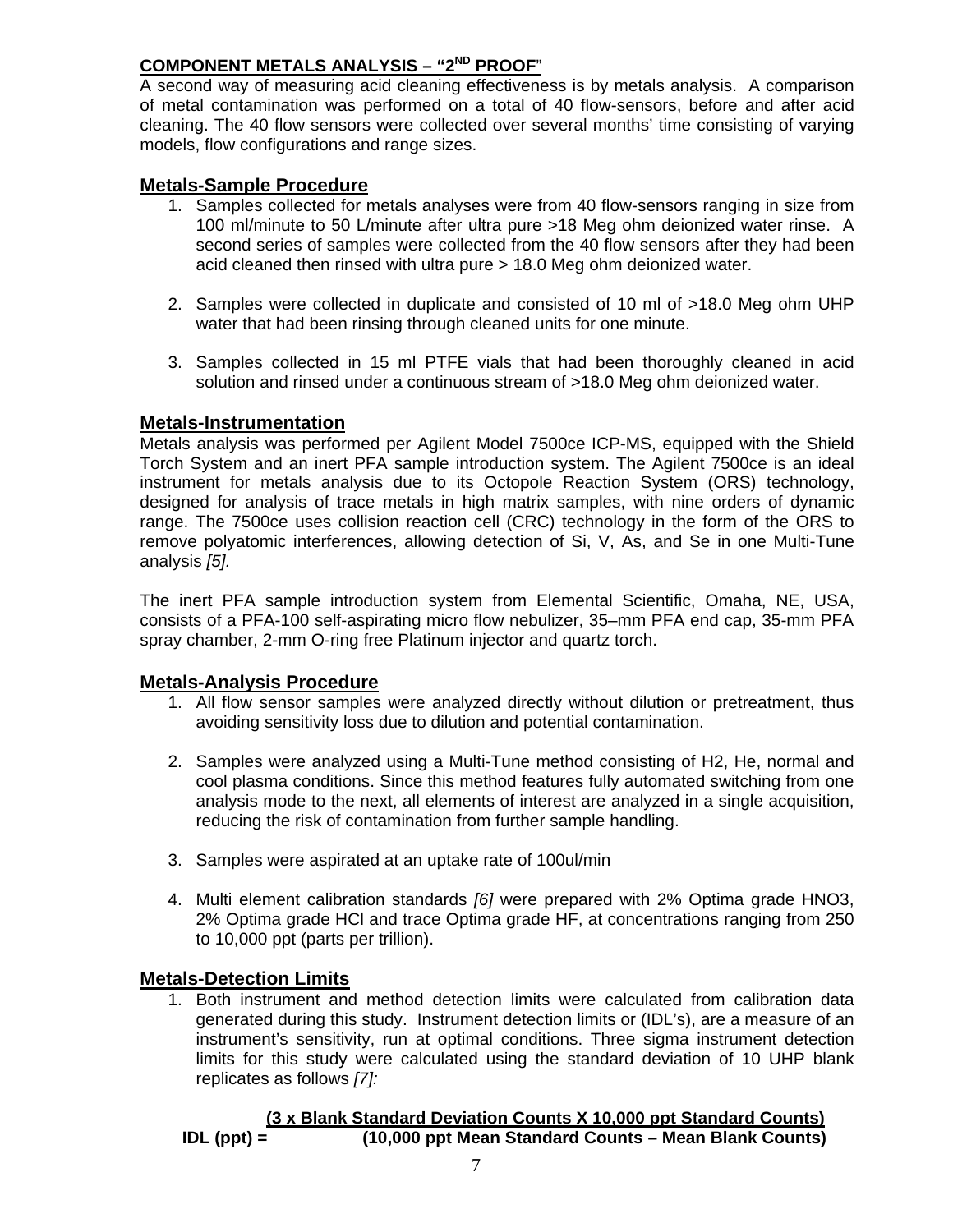#### **COMPONENT METALS ANALYSIS – "2ND PROOF**"

A second way of measuring acid cleaning effectiveness is by metals analysis. A comparison of metal contamination was performed on a total of 40 flow-sensors, before and after acid cleaning. The 40 flow sensors were collected over several months' time consisting of varying models, flow configurations and range sizes.

#### **Metals-Sample Procedure**

- 1. Samples collected for metals analyses were from 40 flow-sensors ranging in size from 100 ml/minute to 50 L/minute after ultra pure >18 Meg ohm deionized water rinse. A second series of samples were collected from the 40 flow sensors after they had been acid cleaned then rinsed with ultra pure > 18.0 Meg ohm deionized water.
- 2. Samples were collected in duplicate and consisted of 10 ml of >18.0 Meg ohm UHP water that had been rinsing through cleaned units for one minute.
- 3. Samples collected in 15 ml PTFE vials that had been thoroughly cleaned in acid solution and rinsed under a continuous stream of >18.0 Meg ohm deionized water.

#### **Metals-Instrumentation**

Metals analysis was performed per Agilent Model 7500ce ICP-MS, equipped with the Shield Torch System and an inert PFA sample introduction system. The Agilent 7500ce is an ideal instrument for metals analysis due to its Octopole Reaction System (ORS) technology, designed for analysis of trace metals in high matrix samples, with nine orders of dynamic range. The 7500ce uses collision reaction cell (CRC) technology in the form of the ORS to remove polyatomic interferences, allowing detection of Si, V, As, and Se in one Multi-Tune analysis *[5].* 

The inert PFA sample introduction system from Elemental Scientific, Omaha, NE, USA, consists of a PFA-100 self-aspirating micro flow nebulizer, 35–mm PFA end cap, 35-mm PFA spray chamber, 2-mm O-ring free Platinum injector and quartz torch.

#### **Metals-Analysis Procedure**

- 1. All flow sensor samples were analyzed directly without dilution or pretreatment, thus avoiding sensitivity loss due to dilution and potential contamination.
- 2. Samples were analyzed using a Multi-Tune method consisting of H2, He, normal and cool plasma conditions. Since this method features fully automated switching from one analysis mode to the next, all elements of interest are analyzed in a single acquisition, reducing the risk of contamination from further sample handling.
- 3. Samples were aspirated at an uptake rate of 100ul/min
- 4. Multi element calibration standards *[6]* were prepared with 2% Optima grade HNO3, 2% Optima grade HCl and trace Optima grade HF, at concentrations ranging from 250 to 10,000 ppt (parts per trillion).

#### **Metals-Detection Limits**

1. Both instrument and method detection limits were calculated from calibration data generated during this study. Instrument detection limits or (IDL's), are a measure of an instrument's sensitivity, run at optimal conditions. Three sigma instrument detection limits for this study were calculated using the standard deviation of 10 UHP blank replicates as follows *[7]:*

```
 (3 x Blank Standard Deviation Counts X 10,000 ppt Standard Counts)
IDL (ppt) = (10,000 ppt Mean Standard Counts – Mean Blank Counts)
```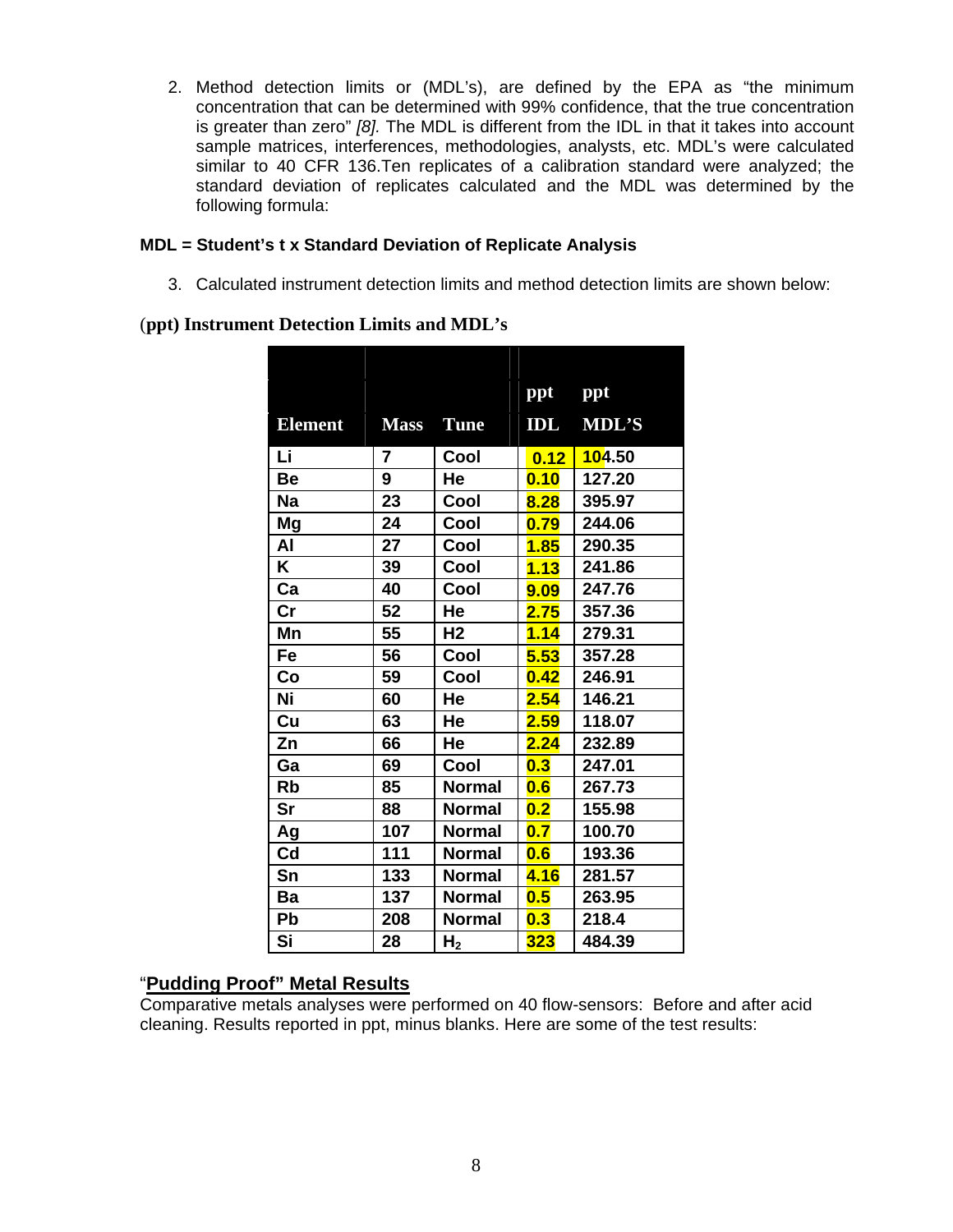2. Method detection limits or (MDL's), are defined by the EPA as "the minimum concentration that can be determined with 99% confidence, that the true concentration is greater than zero" *[8].* The MDL is different from the IDL in that it takes into account sample matrices, interferences, methodologies, analysts, etc. MDL's were calculated similar to 40 CFR 136.Ten replicates of a calibration standard were analyzed; the standard deviation of replicates calculated and the MDL was determined by the following formula:

#### **MDL = Student's t x Standard Deviation of Replicate Analysis**

3. Calculated instrument detection limits and method detection limits are shown below:

#### (**ppt) Instrument Detection Limits and MDL's**

|                |                |                | ppt  | ppt           |
|----------------|----------------|----------------|------|---------------|
| <b>Element</b> | <b>Mass</b>    | <b>Tune</b>    | IDL  | <b>MDL'S</b>  |
| Li             | $\overline{7}$ | Cool           | 0.12 | <b>104.50</b> |
| Be             | 9              | He             | 0.10 | 127.20        |
| <b>Na</b>      | 23             | Cool           | 8.28 | 395.97        |
| Mg             | 24             | Cool           | 0.79 | 244.06        |
| Al             | 27             | Cool           | 1.85 | 290.35        |
| K              | 39             | Cool           | 1.13 | 241.86        |
| Ca             | 40             | Cool           | 9.09 | 247.76        |
| cr             | 52             | He             | 2.75 | 357.36        |
| Mn             | 55             | H <sub>2</sub> | 1.14 | 279.31        |
| Fe             | 56             | Cool           | 5.53 | 357.28        |
| Co             | 59             | Cool           | 0.42 | 246.91        |
| Ni             | 60             | He             | 2.54 | 146.21        |
| Cu             | 63             | He             | 2.59 | 118.07        |
| Zn             | 66             | He             | 2.24 | 232.89        |
| Ga             | 69             | Cool           | 0.3  | 247.01        |
| <b>Rb</b>      | 85             | <b>Normal</b>  | 0.6  | 267.73        |
| Sr             | 88             | <b>Normal</b>  | 0.2  | 155.98        |
| Ag             | 107            | <b>Normal</b>  | 0.7  | 100.70        |
| Cd             | 111            | <b>Normal</b>  | 0.6  | 193.36        |
| Sn             | 133            | <b>Normal</b>  | 4.16 | 281.57        |
| Ba             | 137            | <b>Normal</b>  | 0.5  | 263.95        |
| <b>Pb</b>      | 208            | <b>Normal</b>  | 0.3  | 218.4         |
| Si             | 28             | H <sub>2</sub> | 323  | 484.39        |
|                |                |                |      |               |

#### "**Pudding Proof" Metal Results**

Comparative metals analyses were performed on 40 flow-sensors: Before and after acid cleaning. Results reported in ppt, minus blanks. Here are some of the test results: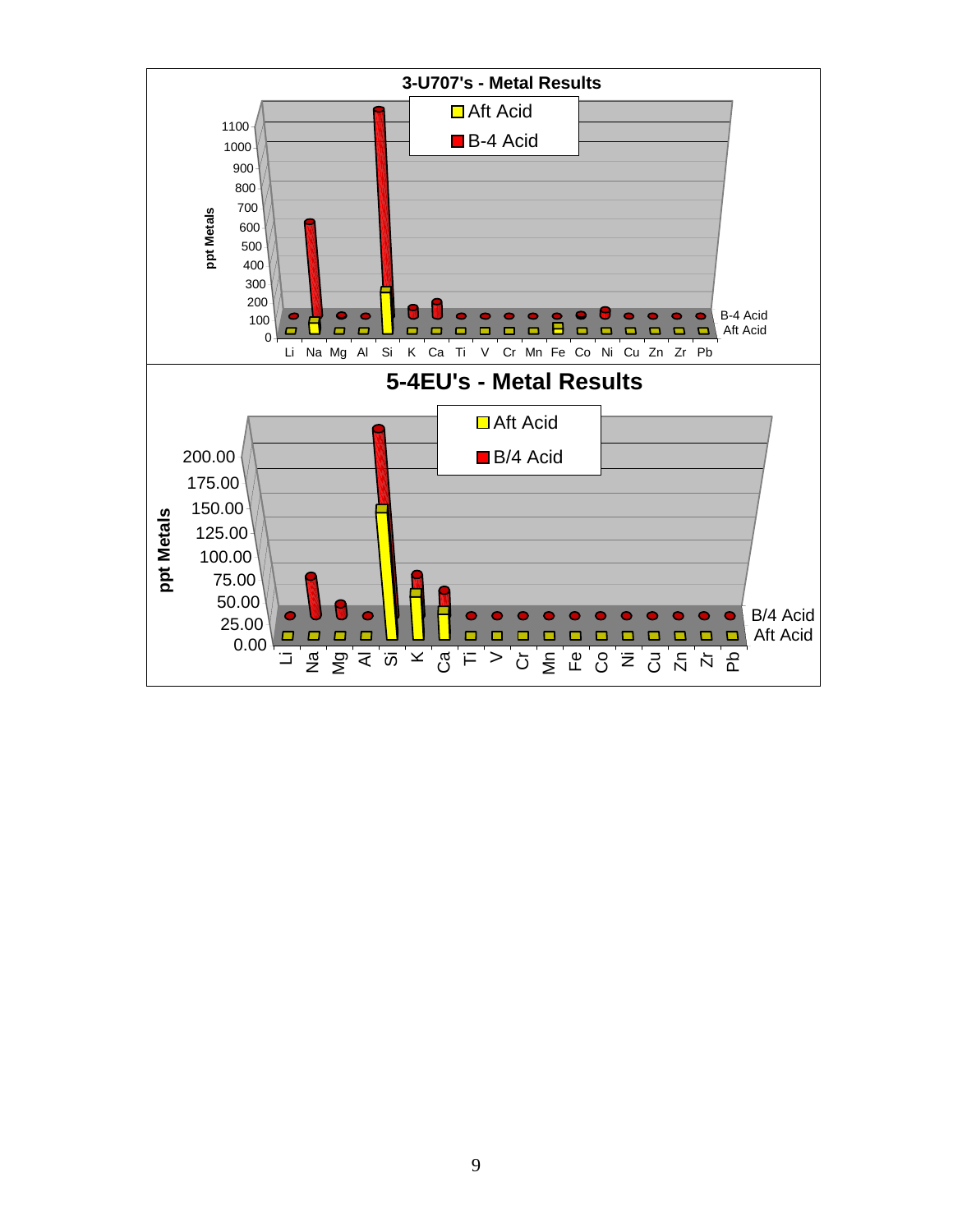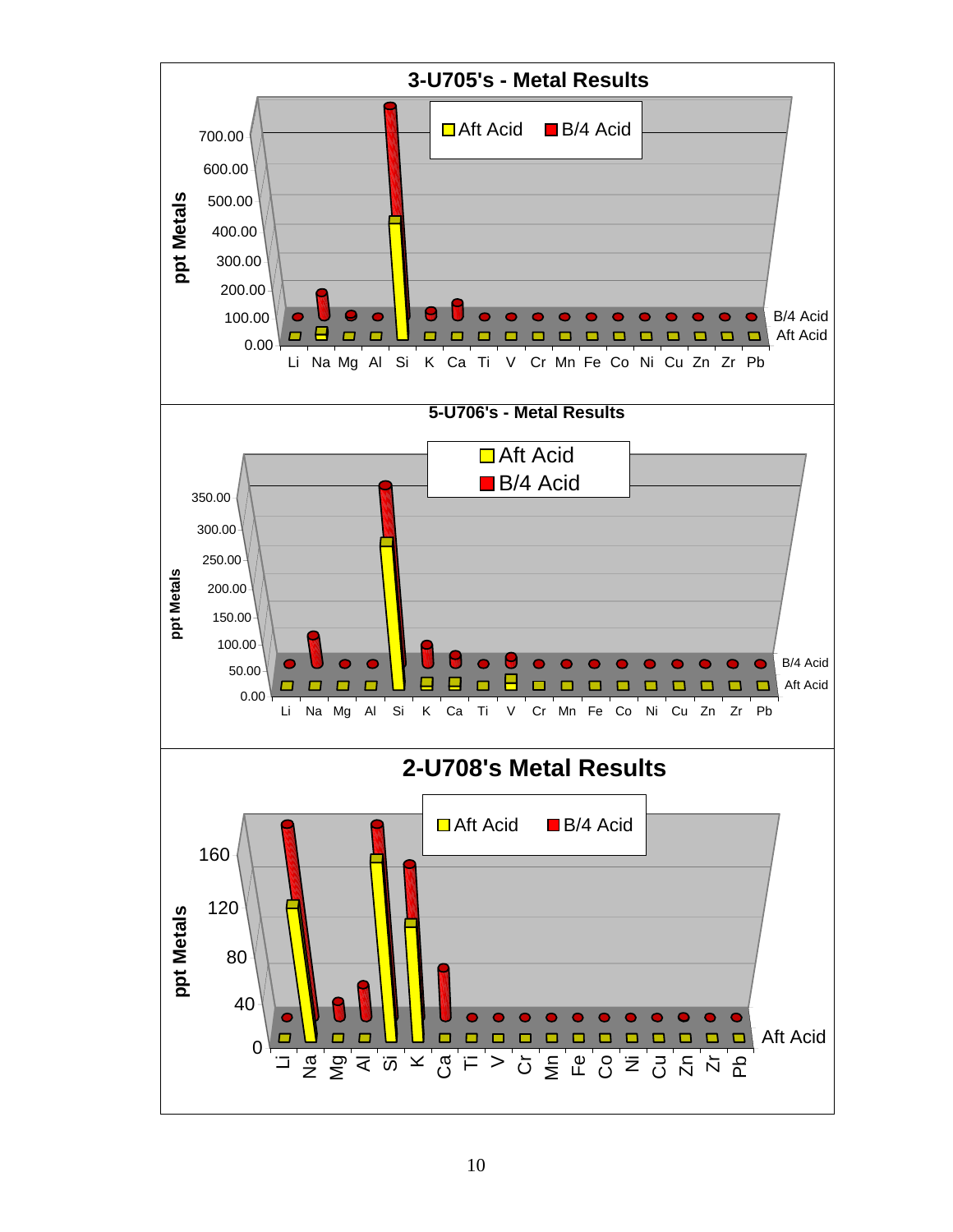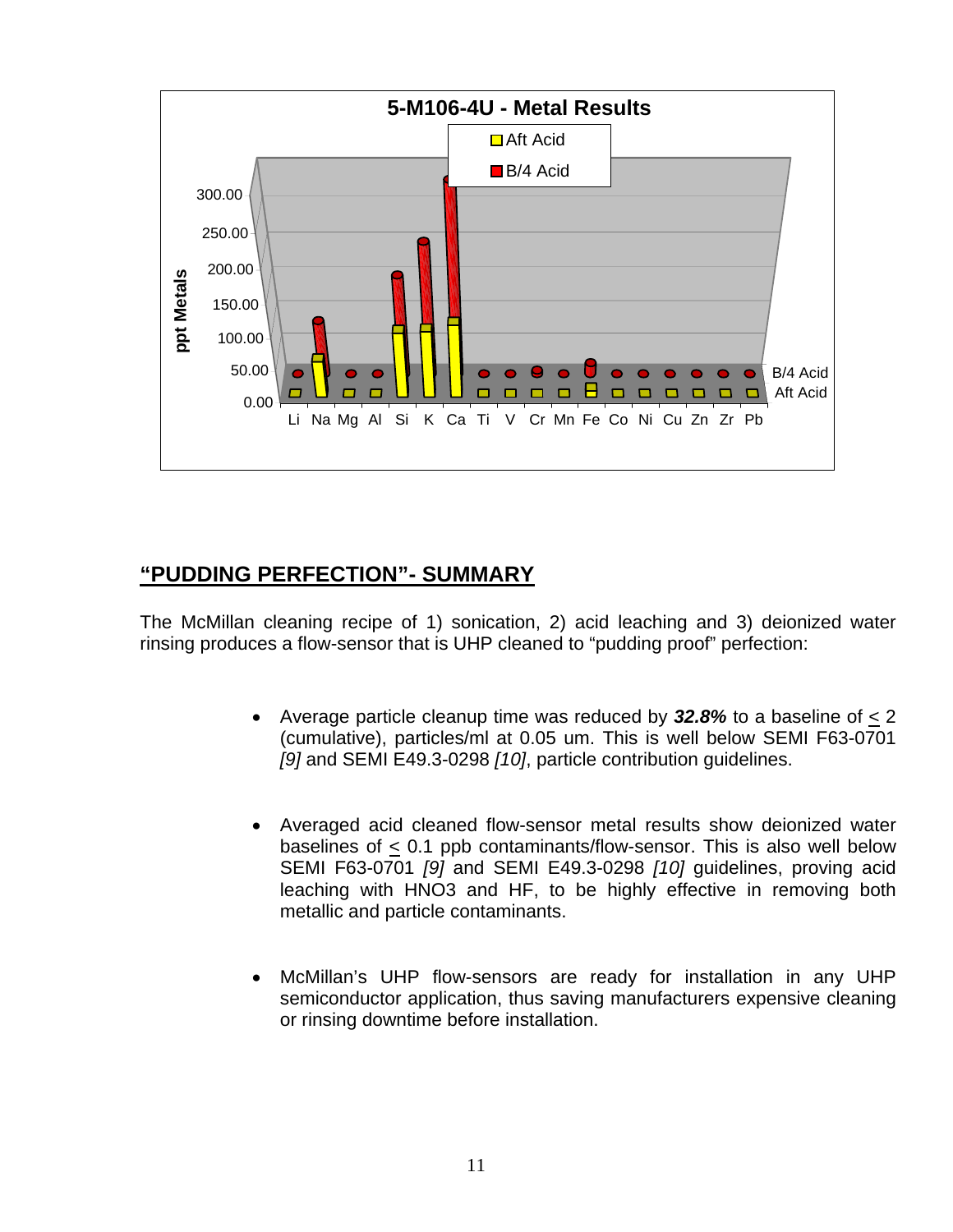

## **"PUDDING PERFECTION"- SUMMARY**

The McMillan cleaning recipe of 1) sonication, 2) acid leaching and 3) deionized water rinsing produces a flow-sensor that is UHP cleaned to "pudding proof" perfection:

- Average particle cleanup time was reduced by *32.8%* to a baseline of < 2 (cumulative), particles/ml at 0.05 um. This is well below SEMI F63-0701 *[9]* and SEMI E49.3-0298 *[10]*, particle contribution guidelines.
- Averaged acid cleaned flow-sensor metal results show deionized water baselines of < 0.1 ppb contaminants/flow-sensor. This is also well below SEMI F63-0701 *[9]* and SEMI E49.3-0298 *[10]* guidelines, proving acid leaching with HNO3 and HF, to be highly effective in removing both metallic and particle contaminants.
- McMillan's UHP flow-sensors are ready for installation in any UHP semiconductor application, thus saving manufacturers expensive cleaning or rinsing downtime before installation.